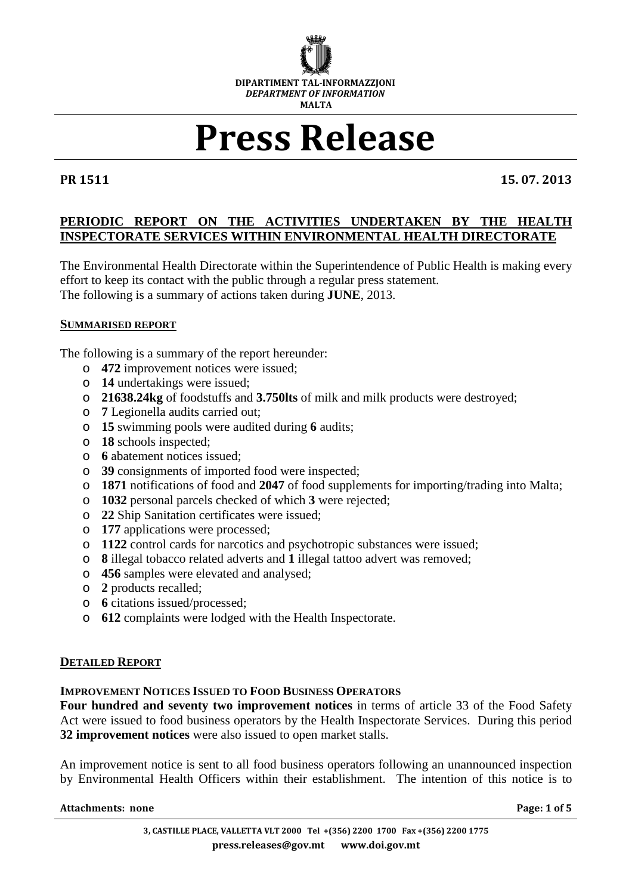

# **Press Release**

**PR 1511 15. 07. 2013** 

# **PERIODIC REPORT ON THE ACTIVITIES UNDERTAKEN BY THE HEALTH INSPECTORATE SERVICES WITHIN ENVIRONMENTAL HEALTH DIRECTORATE**

The Environmental Health Directorate within the Superintendence of Public Health is making every effort to keep its contact with the public through a regular press statement. The following is a summary of actions taken during **JUNE**, 2013.

# **SUMMARISED REPORT**

The following is a summary of the report hereunder:

- o **472** improvement notices were issued;
- o **14** undertakings were issued;
- o **21638.24kg** of foodstuffs and **3.750lts** of milk and milk products were destroyed;
- o **7** Legionella audits carried out;
- o **15** swimming pools were audited during **6** audits;
- o **18** schools inspected;
- o **6** abatement notices issued;
- o **39** consignments of imported food were inspected;
- o **1871** notifications of food and **2047** of food supplements for importing/trading into Malta;
- o **1032** personal parcels checked of which **3** were rejected;
- o **22** Ship Sanitation certificates were issued;
- o **177** applications were processed;
- o **1122** control cards for narcotics and psychotropic substances were issued;
- o **8** illegal tobacco related adverts and **1** illegal tattoo advert was removed;
- o **456** samples were elevated and analysed;
- o **2** products recalled;
- o **6** citations issued/processed;
- o **612** complaints were lodged with the Health Inspectorate.

# **DETAILED REPORT**

# **IMPROVEMENT NOTICES ISSUED TO FOOD BUSINESS OPERATORS**

**Four hundred and seventy two improvement notices** in terms of article 33 of the Food Safety Act were issued to food business operators by the Health Inspectorate Services. During this period **32 improvement notices** were also issued to open market stalls.

An improvement notice is sent to all food business operators following an unannounced inspection by Environmental Health Officers within their establishment. The intention of this notice is to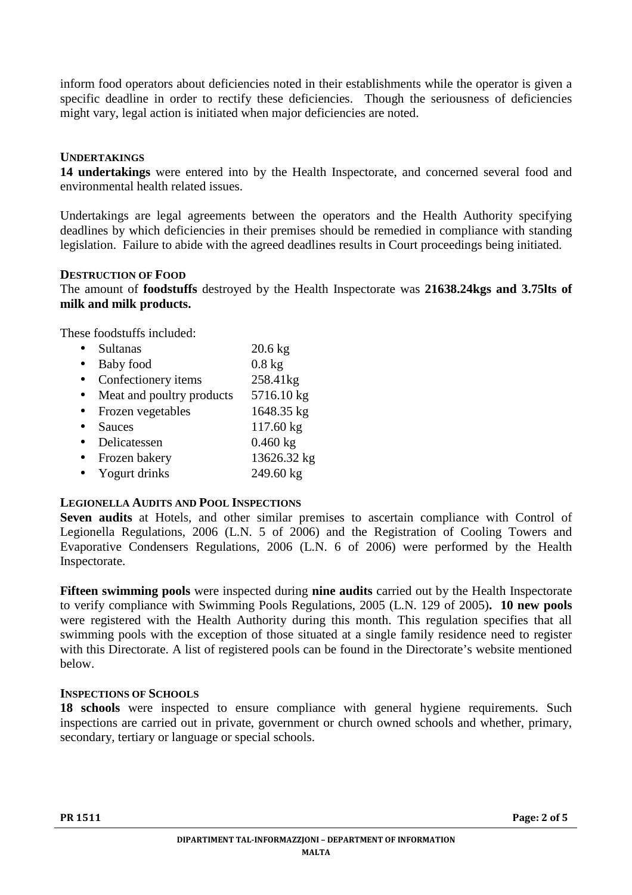inform food operators about deficiencies noted in their establishments while the operator is given a specific deadline in order to rectify these deficiencies. Though the seriousness of deficiencies might vary, legal action is initiated when major deficiencies are noted.

# **UNDERTAKINGS**

**14 undertakings** were entered into by the Health Inspectorate, and concerned several food and environmental health related issues.

Undertakings are legal agreements between the operators and the Health Authority specifying deadlines by which deficiencies in their premises should be remedied in compliance with standing legislation. Failure to abide with the agreed deadlines results in Court proceedings being initiated.

# **DESTRUCTION OF FOOD**

The amount of **foodstuffs** destroyed by the Health Inspectorate was **21638.24kgs and 3.75lts of milk and milk products.**

These foodstuffs included:

|           | <b>Sultanas</b>           | $20.6$ kg   |
|-----------|---------------------------|-------------|
| $\bullet$ | Baby food                 | $0.8$ kg    |
| $\bullet$ | Confectionery items       | 258.41kg    |
| $\bullet$ | Meat and poultry products | 5716.10 kg  |
| $\bullet$ | Frozen vegetables         | 1648.35 kg  |
|           | <b>Sauces</b>             | 117.60 kg   |
|           | Delicatessen              | $0.460$ kg  |
| $\bullet$ | Frozen bakery             | 13626.32 kg |
| $\bullet$ | Yogurt drinks             | 249.60 kg   |

# **LEGIONELLA AUDITS AND POOL INSPECTIONS**

**Seven audits** at Hotels, and other similar premises to ascertain compliance with Control of Legionella Regulations, 2006 (L.N. 5 of 2006) and the Registration of Cooling Towers and Evaporative Condensers Regulations, 2006 (L.N. 6 of 2006) were performed by the Health Inspectorate.

**Fifteen swimming pools** were inspected during **nine audits** carried out by the Health Inspectorate to verify compliance with Swimming Pools Regulations, 2005 (L.N. 129 of 2005)**. 10 new pools** were registered with the Health Authority during this month. This regulation specifies that all swimming pools with the exception of those situated at a single family residence need to register with this Directorate. A list of registered pools can be found in the Directorate's website mentioned below.

# **INSPECTIONS OF SCHOOLS**

18 schools were inspected to ensure compliance with general hygiene requirements. Such inspections are carried out in private, government or church owned schools and whether, primary, secondary, tertiary or language or special schools.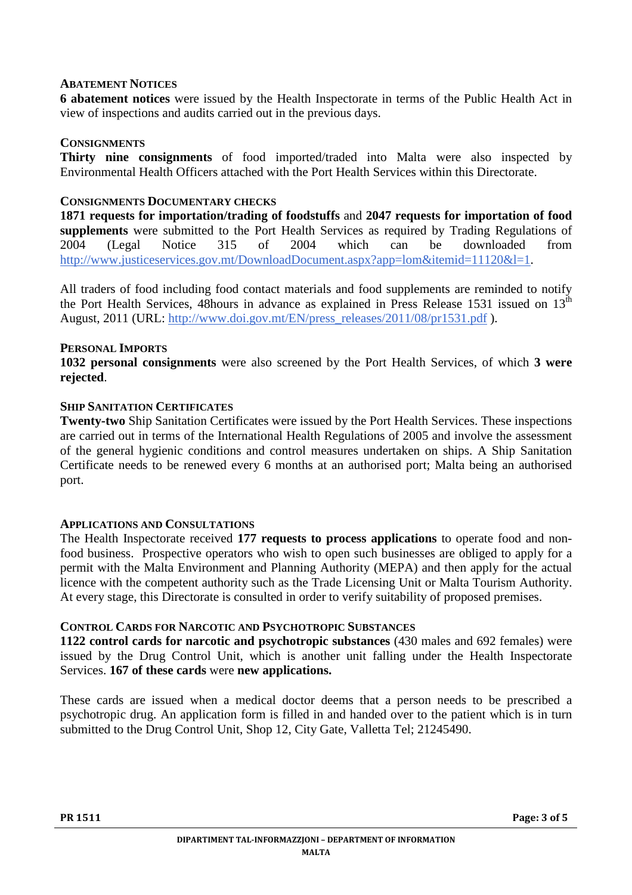#### **ABATEMENT NOTICES**

**6 abatement notices** were issued by the Health Inspectorate in terms of the Public Health Act in view of inspections and audits carried out in the previous days.

#### **CONSIGNMENTS**

**Thirty nine consignments** of food imported/traded into Malta were also inspected by Environmental Health Officers attached with the Port Health Services within this Directorate.

#### **CONSIGNMENTS DOCUMENTARY CHECKS**

**1871 requests for importation/trading of foodstuffs** and **2047 requests for importation of food supplements** were submitted to the Port Health Services as required by Trading Regulations of 2004 (Legal Notice 315 of 2004 which can be downloaded from http://www.justiceservices.gov.mt/DownloadDocument.aspx?app=lom&itemid=11120&l=1.

All traders of food including food contact materials and food supplements are reminded to notify the Port Health Services, 48hours in advance as explained in Press Release 1531 issued on 13<sup>th</sup> August, 2011 (URL: http://www.doi.gov.mt/EN/press\_releases/2011/08/pr1531.pdf ).

#### **PERSONAL IMPORTS**

**1032 personal consignments** were also screened by the Port Health Services, of which **3 were rejected**.

#### **SHIP SANITATION CERTIFICATES**

**Twenty-two** Ship Sanitation Certificates were issued by the Port Health Services. These inspections are carried out in terms of the International Health Regulations of 2005 and involve the assessment of the general hygienic conditions and control measures undertaken on ships. A Ship Sanitation Certificate needs to be renewed every 6 months at an authorised port; Malta being an authorised port.

# **APPLICATIONS AND CONSULTATIONS**

The Health Inspectorate received **177 requests to process applications** to operate food and nonfood business. Prospective operators who wish to open such businesses are obliged to apply for a permit with the Malta Environment and Planning Authority (MEPA) and then apply for the actual licence with the competent authority such as the Trade Licensing Unit or Malta Tourism Authority. At every stage, this Directorate is consulted in order to verify suitability of proposed premises.

# **CONTROL CARDS FOR NARCOTIC AND PSYCHOTROPIC SUBSTANCES**

**1122 control cards for narcotic and psychotropic substances** (430 males and 692 females) were issued by the Drug Control Unit, which is another unit falling under the Health Inspectorate Services. **167 of these cards** were **new applications.**

These cards are issued when a medical doctor deems that a person needs to be prescribed a psychotropic drug. An application form is filled in and handed over to the patient which is in turn submitted to the Drug Control Unit, Shop 12, City Gate, Valletta Tel; 21245490.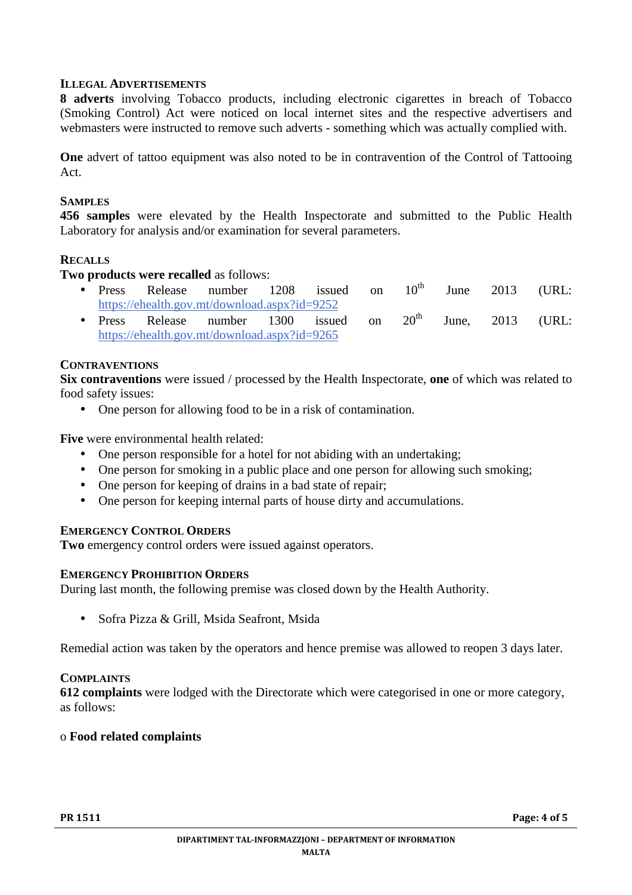# **ILLEGAL ADVERTISEMENTS**

**8 adverts** involving Tobacco products, including electronic cigarettes in breach of Tobacco (Smoking Control) Act were noticed on local internet sites and the respective advertisers and webmasters were instructed to remove such adverts - something which was actually complied with.

**One** advert of tattoo equipment was also noted to be in contravention of the Control of Tattooing Act.

#### **SAMPLES**

**456 samples** were elevated by the Health Inspectorate and submitted to the Public Health Laboratory for analysis and/or examination for several parameters.

#### **RECALLS**

**Two products were recalled** as follows:

- Press Release number 1208 issued on  $10^{th}$  June 2013 (URL: https://ehealth.gov.mt/download.aspx?id=9252
- Press Release number 1300 issued on  $20<sup>th</sup>$  June, 2013 (URL: https://ehealth.gov.mt/download.aspx?id=9265

#### **CONTRAVENTIONS**

**Six contraventions** were issued / processed by the Health Inspectorate, **one** of which was related to food safety issues:

• One person for allowing food to be in a risk of contamination.

**Five** were environmental health related:

- One person responsible for a hotel for not abiding with an undertaking;
- One person for smoking in a public place and one person for allowing such smoking;
- One person for keeping of drains in a bad state of repair:
- One person for keeping internal parts of house dirty and accumulations.

# **EMERGENCY CONTROL ORDERS**

**Two** emergency control orders were issued against operators.

# **EMERGENCY PROHIBITION ORDERS**

During last month, the following premise was closed down by the Health Authority.

• Sofra Pizza & Grill, Msida Seafront, Msida

Remedial action was taken by the operators and hence premise was allowed to reopen 3 days later.

#### **COMPLAINTS**

**612 complaints** were lodged with the Directorate which were categorised in one or more category, as follows:

#### o **Food related complaints**